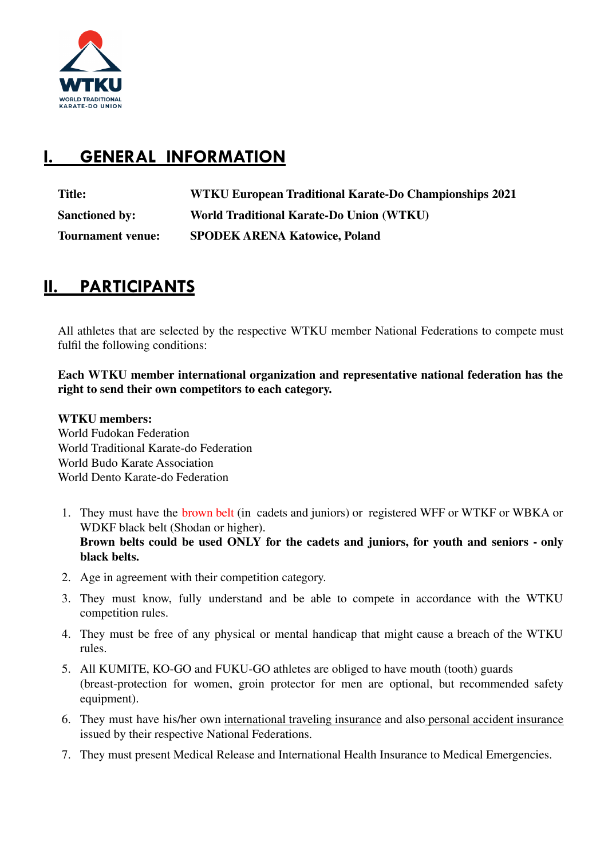

# **I. GENERAL INFORMATION**

| <b>Title:</b>            | WTKU European Traditional Karate-Do Championships 2021 |
|--------------------------|--------------------------------------------------------|
| <b>Sanctioned by:</b>    | World Traditional Karate-Do Union (WTKU)               |
| <b>Tournament venue:</b> | <b>SPODEK ARENA Katowice, Poland</b>                   |

### **II. PARTICIPANTS**

All athletes that are selected by the respective WTKU member National Federations to compete must fulfil the following conditions:

**Each WTKU member international organization and representative national federation has the right to send their own competitors to each category.**

**WTKU members:** World Fudokan Federation World Traditional Karate-do Federation World Budo Karate Association World Dento Karate-do Federation

- 1. They must have the brown belt (in cadets and juniors) or registered WFF or WTKF or WBKA or WDKF black belt (Shodan or higher). **Brown belts could be used ONLY for the cadets and juniors, for youth and seniors - only black belts.**
- 2. Age in agreement with their competition category.
- 3. They must know, fully understand and be able to compete in accordance with the WTKU competition rules.
- 4. They must be free of any physical or mental handicap that might cause a breach of the WTKU rules.
- 5. All KUMITE, KO-GO and FUKU-GO athletes are obliged to have mouth (tooth) guards (breast-protection for women, groin protector for men are optional, but recommended safety equipment).
- 6. They must have his/her own international traveling insurance and also personal accident insurance issued by their respective National Federations.
- 7. They must present Medical Release and International Health Insurance to Medical Emergencies.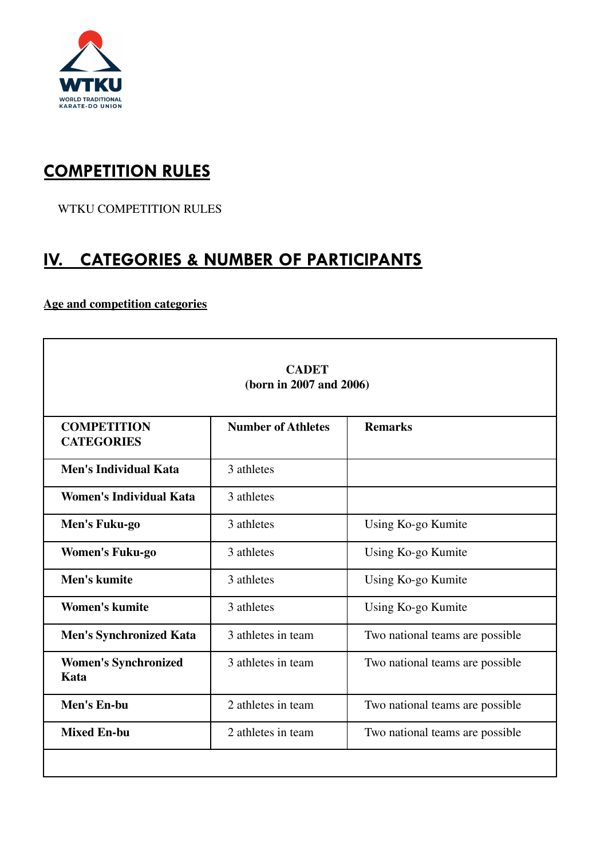

### **COMPETITION RULES**

WTKU COMPETITION RULES

### **IV. CATEGORIES & NUMBER OF PARTICIPANTS**

#### **Age and competition categories**

| <b>CADET</b><br>(born in 2007 and 2006) |                           |                                 |  |
|-----------------------------------------|---------------------------|---------------------------------|--|
| <b>COMPETITION</b><br><b>CATEGORIES</b> | <b>Number of Athletes</b> | <b>Remarks</b>                  |  |
| <b>Men's Individual Kata</b>            | 3 athletes                |                                 |  |
| <b>Women's Individual Kata</b>          | 3 athletes                |                                 |  |
| Men's Fuku-go                           | 3 athletes                | Using Ko-go Kumite              |  |
| <b>Women's Fuku-go</b>                  | 3 athletes                | Using Ko-go Kumite              |  |
| Men's kumite                            | 3 athletes                | Using Ko-go Kumite              |  |
| <b>Women's kumite</b>                   | 3 athletes                | Using Ko-go Kumite              |  |
| <b>Men's Synchronized Kata</b>          | 3 athletes in team        | Two national teams are possible |  |
| <b>Women's Synchronized</b><br>Kata     | 3 athletes in team        | Two national teams are possible |  |
| Men's En-bu                             | 2 athletes in team        | Two national teams are possible |  |
| <b>Mixed En-bu</b>                      | 2 athletes in team        | Two national teams are possible |  |
|                                         |                           |                                 |  |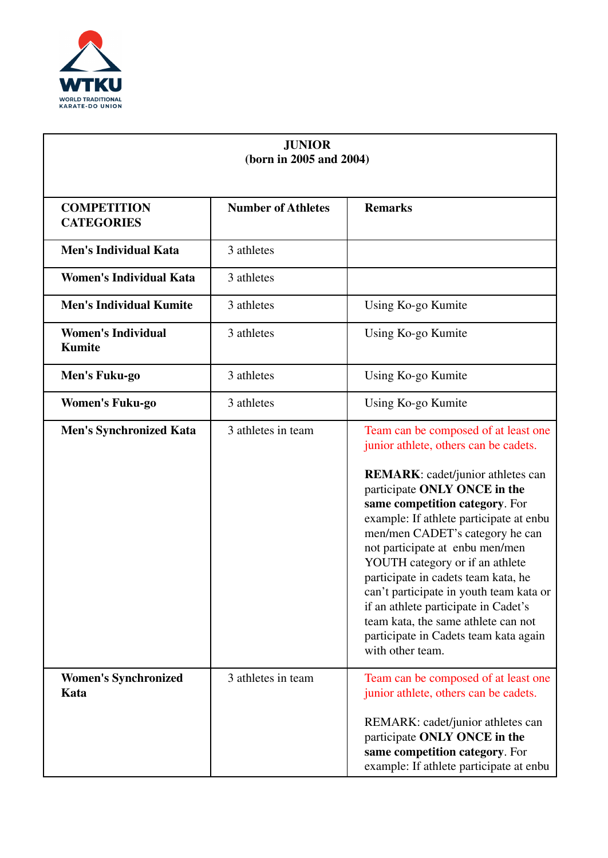

| <b>JUNIOR</b><br>(born in 2005 and 2004)   |                           |                                                                                                                                                                                                                                                                                                                                                                                                                                                                                              |
|--------------------------------------------|---------------------------|----------------------------------------------------------------------------------------------------------------------------------------------------------------------------------------------------------------------------------------------------------------------------------------------------------------------------------------------------------------------------------------------------------------------------------------------------------------------------------------------|
| <b>COMPETITION</b><br><b>CATEGORIES</b>    | <b>Number of Athletes</b> | <b>Remarks</b>                                                                                                                                                                                                                                                                                                                                                                                                                                                                               |
| <b>Men's Individual Kata</b>               | 3 athletes                |                                                                                                                                                                                                                                                                                                                                                                                                                                                                                              |
| <b>Women's Individual Kata</b>             | 3 athletes                |                                                                                                                                                                                                                                                                                                                                                                                                                                                                                              |
| <b>Men's Individual Kumite</b>             | 3 athletes                | Using Ko-go Kumite                                                                                                                                                                                                                                                                                                                                                                                                                                                                           |
| <b>Women's Individual</b><br><b>Kumite</b> | 3 athletes                | Using Ko-go Kumite                                                                                                                                                                                                                                                                                                                                                                                                                                                                           |
| Men's Fuku-go                              | 3 athletes                | Using Ko-go Kumite                                                                                                                                                                                                                                                                                                                                                                                                                                                                           |
| <b>Women's Fuku-go</b>                     | 3 athletes                | Using Ko-go Kumite                                                                                                                                                                                                                                                                                                                                                                                                                                                                           |
| <b>Men's Synchronized Kata</b>             | 3 athletes in team        | Team can be composed of at least one<br>junior athlete, others can be cadets.                                                                                                                                                                                                                                                                                                                                                                                                                |
|                                            |                           | <b>REMARK:</b> cadet/junior athletes can<br>participate ONLY ONCE in the<br>same competition category. For<br>example: If athlete participate at enbu<br>men/men CADET's category he can<br>not participate at enbu men/men<br>YOUTH category or if an athlete<br>participate in cadets team kata, he<br>can't participate in youth team kata or<br>if an athlete participate in Cadet's<br>team kata, the same athlete can not<br>participate in Cadets team kata again<br>with other team. |
| <b>Women's Synchronized</b><br>Kata        | 3 athletes in team        | Team can be composed of at least one<br>junior athlete, others can be cadets.<br>REMARK: cadet/junior athletes can<br>participate ONLY ONCE in the<br>same competition category. For<br>example: If athlete participate at enbu                                                                                                                                                                                                                                                              |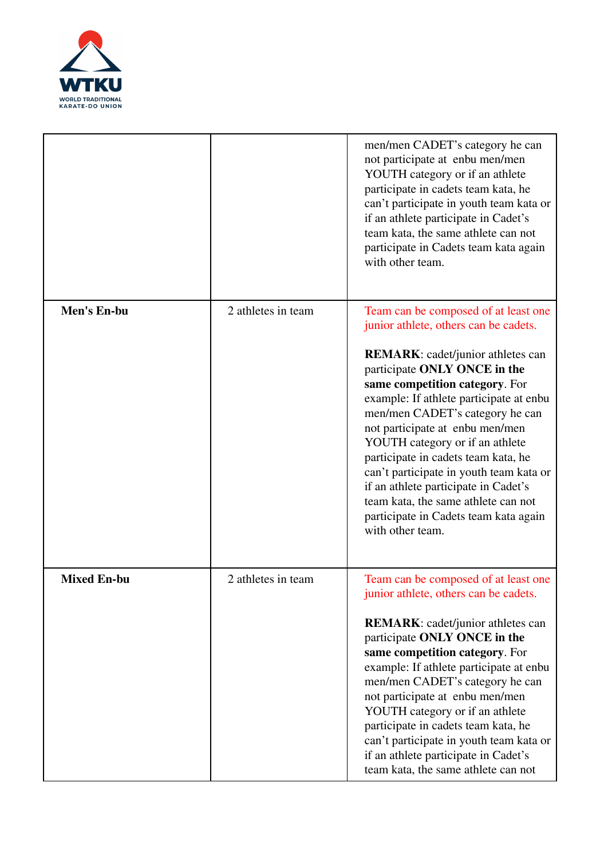

|                    |                    | men/men CADET's category he can<br>not participate at enbu men/men<br>YOUTH category or if an athlete<br>participate in cadets team kata, he<br>can't participate in youth team kata or<br>if an athlete participate in Cadet's<br>team kata, the same athlete can not<br>participate in Cadets team kata again<br>with other team.                                                                                                                                                                                                                                           |
|--------------------|--------------------|-------------------------------------------------------------------------------------------------------------------------------------------------------------------------------------------------------------------------------------------------------------------------------------------------------------------------------------------------------------------------------------------------------------------------------------------------------------------------------------------------------------------------------------------------------------------------------|
| Men's En-bu        | 2 athletes in team | Team can be composed of at least one<br>junior athlete, others can be cadets.<br><b>REMARK:</b> cadet/junior athletes can<br>participate ONLY ONCE in the<br>same competition category. For<br>example: If athlete participate at enbu<br>men/men CADET's category he can<br>not participate at enbu men/men<br>YOUTH category or if an athlete<br>participate in cadets team kata, he<br>can't participate in youth team kata or<br>if an athlete participate in Cadet's<br>team kata, the same athlete can not<br>participate in Cadets team kata again<br>with other team. |
| <b>Mixed En-bu</b> | 2 athletes in team | Team can be composed of at least one<br>junior athlete, others can be cadets.<br><b>REMARK:</b> cadet/junior athletes can<br>participate ONLY ONCE in the<br>same competition category. For<br>example: If athlete participate at enbu<br>men/men CADET's category he can<br>not participate at enbu men/men<br>YOUTH category or if an athlete<br>participate in cadets team kata, he<br>can't participate in youth team kata or<br>if an athlete participate in Cadet's<br>team kata, the same athlete can not                                                              |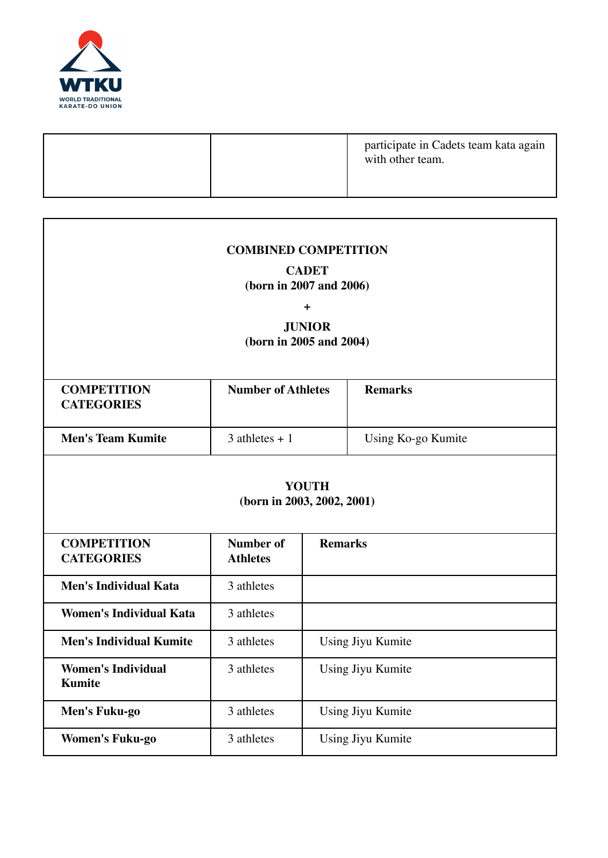

|  | participate in Cadets team kata again<br>with other team. |
|--|-----------------------------------------------------------|
|  |                                                           |

| <b>COMBINED COMPETITION</b><br><b>CADET</b><br>(born in 2007 and 2006)<br>$\ddot{}$<br><b>JUNIOR</b><br>(born in 2005 and 2004) |                                     |                |                    |
|---------------------------------------------------------------------------------------------------------------------------------|-------------------------------------|----------------|--------------------|
| <b>COMPETITION</b><br><b>CATEGORIES</b>                                                                                         | <b>Number of Athletes</b>           |                | <b>Remarks</b>     |
| <b>Men's Team Kumite</b>                                                                                                        | $3$ athletes + 1                    |                | Using Ko-go Kumite |
| <b>YOUTH</b><br>(born in 2003, 2002, 2001)                                                                                      |                                     |                |                    |
| <b>COMPETITION</b><br><b>CATEGORIES</b>                                                                                         | <b>Number of</b><br><b>Athletes</b> | <b>Remarks</b> |                    |
| <b>Men's Individual Kata</b>                                                                                                    | 3 athletes                          |                |                    |
| <b>Women's Individual Kata</b>                                                                                                  | 3 athletes                          |                |                    |
| <b>Men's Individual Kumite</b>                                                                                                  | 3 athletes                          |                | Using Jiyu Kumite  |
| <b>Women's Individual</b><br><b>Kumite</b>                                                                                      | 3 athletes                          |                | Using Jiyu Kumite  |
| Men's Fuku-go                                                                                                                   | 3 athletes                          |                | Using Jiyu Kumite  |
| <b>Women's Fuku-go</b>                                                                                                          | 3 athletes                          |                | Using Jiyu Kumite  |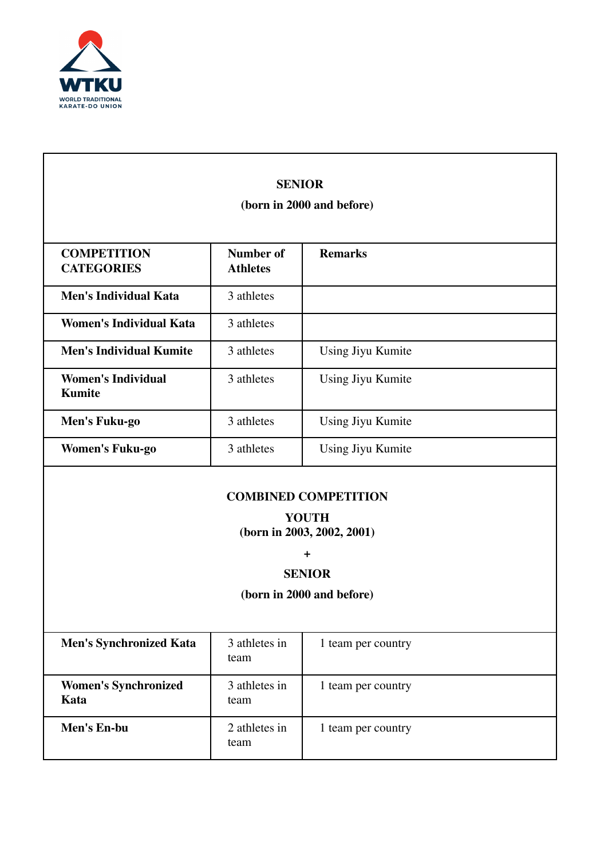

|                                            | <b>SENIOR</b><br>(born in 2000 and before) |                             |  |
|--------------------------------------------|--------------------------------------------|-----------------------------|--|
|                                            |                                            |                             |  |
| <b>COMPETITION</b><br><b>CATEGORIES</b>    | <b>Number of</b><br><b>Athletes</b>        | <b>Remarks</b>              |  |
| <b>Men's Individual Kata</b>               | 3 athletes                                 |                             |  |
| <b>Women's Individual Kata</b>             | 3 athletes                                 |                             |  |
| <b>Men's Individual Kumite</b>             | 3 athletes                                 | Using Jiyu Kumite           |  |
| <b>Women's Individual</b><br><b>Kumite</b> | 3 athletes                                 | Using Jiyu Kumite           |  |
| Men's Fuku-go                              | 3 athletes                                 | Using Jiyu Kumite           |  |
| <b>Women's Fuku-go</b>                     | 3 athletes                                 | Using Jiyu Kumite           |  |
|                                            |                                            | <b>COMBINED COMPETITION</b> |  |
|                                            |                                            | <b>YOUTH</b>                |  |
|                                            |                                            | (born in 2003, 2002, 2001)  |  |
|                                            |                                            | $\ddot{}$                   |  |
|                                            | <b>SENIOR</b><br>(born in 2000 and before) |                             |  |
|                                            |                                            |                             |  |
| <b>Men's Synchronized Kata</b>             | 3 athletes in<br>team                      | 1 team per country          |  |
| <b>Women's Synchronized</b><br>Kata        | 3 athletes in<br>team                      | 1 team per country          |  |
| Men's En-bu                                | 2 athletes in<br>team                      | 1 team per country          |  |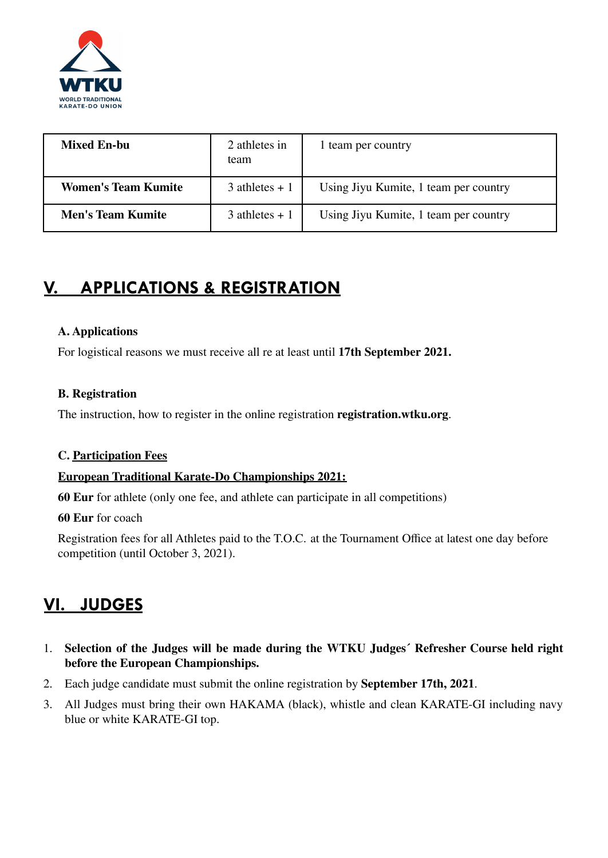

| <b>Mixed En-bu</b>         | 2 athletes in<br>team | 1 team per country                    |
|----------------------------|-----------------------|---------------------------------------|
| <b>Women's Team Kumite</b> | $3$ athletes + 1      | Using Jiyu Kumite, 1 team per country |
| <b>Men's Team Kumite</b>   | $3$ athletes + 1      | Using Jiyu Kumite, 1 team per country |

# **V. APPLICATIONS & REGISTRATION**

#### **A. Applications**

For logistical reasons we must receive all re at least until **17th September 2021.**

#### **B. Registration**

The instruction, how to register in the online registration **registration.wtku.org**.

#### **C. Participation Fees**

#### **European Traditional Karate-Do Championships 2021:**

**60 Eur** for athlete (only one fee, and athlete can participate in all competitions)

**60 Eur** for coach

Registration fees for all Athletes paid to the T.O.C. at the Tournament Office at latest one day before competition (until October 3, 2021).

# **VI. JUDGES**

- 1. **Selection of the Judges will be made during the WTKU Judges´ Refresher Course held right before the European Championships.**
- 2. Each judge candidate must submit the online registration by **September 17th, 2021**.
- 3. All Judges must bring their own HAKAMA (black), whistle and clean KARATE-GI including navy blue or white KARATE-GI top.